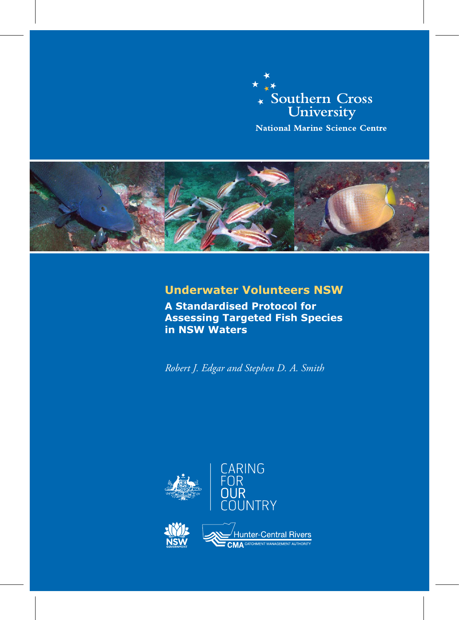



# **Underwater Volunteers NSW**

**A Standardised Protocol for Assessing Targeted Fish Species in NSW Waters**

*Robert J. Edgar and Stephen D. A. Smith*

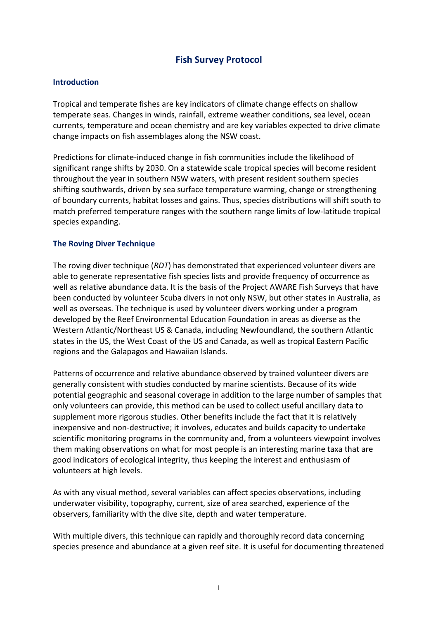# **Fish Survey Protocol**

#### **Introduction**

Tropical and temperate fishes are key indicators of climate change effects on shallow temperate seas. Changes in winds, rainfall, extreme weather conditions, sea level, ocean currents, temperature and ocean chemistry and are key variables expected to drive climate change impacts on fish assemblages along the NSW coast.

Predictions for climate-induced change in fish communities include the likelihood of significant range shifts by 2030. On a statewide scale tropical species will become resident throughout the year in southern NSW waters, with present resident southern species shifting southwards, driven by sea surface temperature warming, change or strengthening of boundary currents, habitat losses and gains. Thus, species distributions will shift south to match preferred temperature ranges with the southern range limits of low-latitude tropical species expanding.

#### **The Roving Diver Technique**

The roving diver technique (*RDT*) has demonstrated that experienced volunteer divers are able to generate representative fish species lists and provide frequency of occurrence as well as relative abundance data. It is the basis of the Project AWARE Fish Surveys that have been conducted by volunteer Scuba divers in not only NSW, but other states in Australia, as well as overseas. The technique is used by volunteer divers working under a program developed by the Reef Environmental Education Foundation in areas as diverse as the Western Atlantic/Northeast US & Canada, including Newfoundland, the southern Atlantic states in the US, the West Coast of the US and Canada, as well as tropical Eastern Pacific regions and the Galapagos and Hawaiian Islands.

Patterns of occurrence and relative abundance observed by trained volunteer divers are generally consistent with studies conducted by marine scientists. Because of its wide potential geographic and seasonal coverage in addition to the large number of samples that only volunteers can provide, this method can be used to collect useful ancillary data to supplement more rigorous studies. Other benefits include the fact that it is relatively inexpensive and non-destructive; it involves, educates and builds capacity to undertake scientific monitoring programs in the community and, from a volunteers viewpoint involves them making observations on what for most people is an interesting marine taxa that are good indicators of ecological integrity, thus keeping the interest and enthusiasm of volunteers at high levels.

As with any visual method, several variables can affect species observations, including underwater visibility, topography, current, size of area searched, experience of the observers, familiarity with the dive site, depth and water temperature.

With multiple divers, this technique can rapidly and thoroughly record data concerning species presence and abundance at a given reef site. It is useful for documenting threatened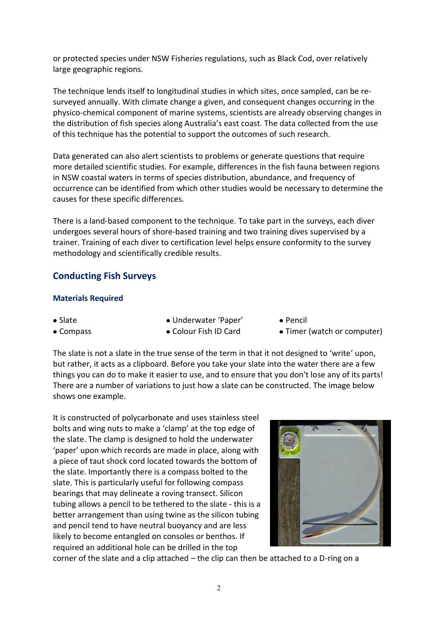or protected species under NSW Fisheries regulations, such as Black Cod, over relatively large geographic regions.

The technique lends itself to longitudinal studies in which sites, once sampled, can be resurveyed annually. With climate change a given, and consequent changes occurring in the physico-chemical component of marine systems, scientists are already observing changes in the distribution of fish species along Australia's east coast. The data collected from the use of this technique has the potential to support the outcomes of such research.

Data generated can also alert scientists to problems or generate questions that require more detailed scientific studies. For example, differences in the fish fauna between regions in NSW coastal waters in terms of species distribution, abundance, and frequency of occurrence can be identified from which other studies would be necessary to determine the causes for these specific differences.

There is a land-based component to the technique. To take part in the surveys, each diver undergoes several hours of shore-based training and two training dives supervised by a trainer. Training of each diver to certification level helps ensure conformity to the survey methodology and scientifically credible results.

# **Conducting Fish Surveys**

#### **Materials Required**

- 
- Slate Pencil Underwater 'Paper' Pencil
- 
- Compass Colour Fish ID Card Timer (watch or computer)

The slate is not a slate in the true sense of the term in that it not designed to 'write' upon, but rather, it acts as a clipboard. Before you take your slate into the water there are a few things you can do to make it easier to use, and to ensure that you don't lose any of its parts! There are a number of variations to just how a slate can be constructed. The image below shows one example.

It is constructed of polycarbonate and uses stainless steel bolts and wing nuts to make a 'clamp' at the top edge of the slate. The clamp is designed to hold the underwater 'paper' upon which records are made in place, along with a piece of taut shock cord located towards the bottom of the slate. Importantly there is a compass bolted to the slate. This is particularly useful for following compass bearings that may delineate a roving transect. Silicon tubing allows a pencil to be tethered to the slate - this is a better arrangement than using twine as the silicon tubing and pencil tend to have neutral buoyancy and are less likely to become entangled on consoles or benthos. If required an additional hole can be drilled in the top



corner of the slate and a clip attached – the clip can then be attached to a D-ring on a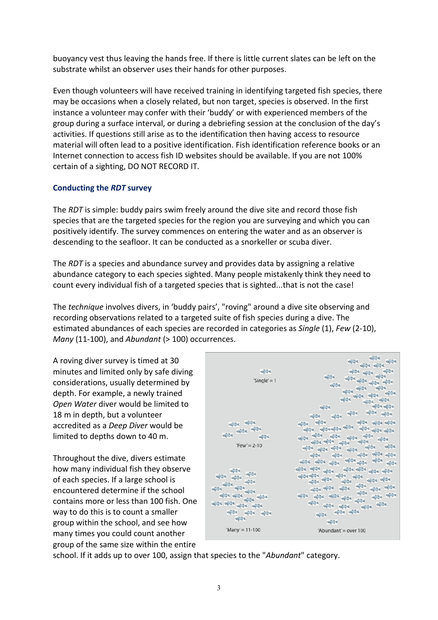buoyancy vest thus leaving the hands free. If there is little current slates can be left on the substrate whilst an observer uses their hands for other purposes.

Even though volunteers will have received training in identifying targeted fish species, there may be occasions when a closely related, but non target, species is observed. In the first instance a volunteer may confer with their 'buddy' or with experienced members of the group during a surface interval, or during a debriefing session at the conclusion of the day's activities. If questions still arise as to the identification then having access to resource material will often lead to a positive identification. Fish identification reference books or an Internet connection to access fish ID websites should be available. If you are not 100% certain of a sighting, DO NOT RECORD IT.

### **Conducting the** *RDT* **survey**

The *RDT* is simple: buddy pairs swim freely around the dive site and record those fish species that are the targeted species for the region you are surveying and which you can positively identify. The survey commences on entering the water and as an observer is descending to the seafloor. It can be conducted as a snorkeller or scuba diver.

The *RDT* is a species and abundance survey and provides data by assigning a relative abundance category to each species sighted. Many people mistakenly think they need to count every individual fish of a targeted species that is sighted...that is not the case!

The *technique* involves divers, in 'buddy pairs', "roving" around a dive site observing and recording observations related to a targeted suite of fish species during a dive. The estimated abundances of each species are recorded in categories as *Single* (1), *Few* (2-10), *Many* (11-100), and *Abundant* (> 100) occurrences.

A roving diver survey is timed at 30 minutes and limited only by safe diving considerations, usually determined by depth. For example, a newly trained *Open Water* diver would be limited to 18 m in depth, but a volunteer accredited as a *Deep Diver* would be limited to depths down to 40 m.

Throughout the dive, divers estimate how many individual fish they observe of each species. If a large school is encountered determine if the school contains more or less than 100 fish. One way to do this is to count a smaller group within the school, and see how many times you could count another group of the same size within the entire

| <b>CIUTA</b><br>'Single' = $1$                                                                  | $(1 - 1)$<br>$\frac{1}{2}$<br>$\mathcal{L}(\mathcal{U})$<br>$QQ \rightarrow 0$<br><b>CIUTA</b><br><b>OUT OF</b><br><b>City</b><br>$\frac{1}{2}$<br>$46 - 1$<br><b>OUT 14</b><br><b>OUT ON</b>                                                                                                                                                                                                                                                                                                                                                                                                                                                                                                                                                                                                                                       |
|-------------------------------------------------------------------------------------------------|-------------------------------------------------------------------------------------------------------------------------------------------------------------------------------------------------------------------------------------------------------------------------------------------------------------------------------------------------------------------------------------------------------------------------------------------------------------------------------------------------------------------------------------------------------------------------------------------------------------------------------------------------------------------------------------------------------------------------------------------------------------------------------------------------------------------------------------|
| <b>CINY</b><br><b>OUT OF</b><br>$Tew' = 2-10$                                                   | <b>CIU THE</b><br>$46 - 14$<br>49.754<br><b>OUT THE</b><br><b>OUT OF</b><br>$\frac{1}{2}$<br>ou <sup>m</sup> a<br><b>CIU</b><br>44.5<br><b>CIU</b> 24<br><b>OUT OF</b><br><b>OUT THE</b><br>$\frac{1}{2}$<br>die 24<br>$\mathcal{L}(\mathbf{Q})$ and<br><b>CIU TELE</b><br>$\mathcal{L}(\mathcal{U})$<br>74<br>للاستيانه<br><b>City</b> of the<br><b>OUT THE</b><br><b>CINEMA</b><br>74                                                                                                                                                                                                                                                                                                                                                                                                                                             |
| <b>CIN</b> IS<br><b>OW</b><br>OU ON OU<br>Kity.<br>$20 - 10$<br><b>OU AN</b><br>'Many' = 11-100 | यहाँ व यही है।<br>46.34<br>$46 - 4$<br>on <sup>2</sup><br><b>CIU</b><br><b>OUT OF</b><br>44.44<br><b>CINTER</b><br>$\frac{1}{2} \sum_{i=1}^n \frac{1}{2} \sum_{i=1}^n \frac{1}{2} \sum_{i=1}^n \frac{1}{2} \sum_{i=1}^n \frac{1}{2} \sum_{i=1}^n \frac{1}{2} \sum_{i=1}^n \frac{1}{2} \sum_{i=1}^n \frac{1}{2} \sum_{i=1}^n \frac{1}{2} \sum_{i=1}^n \frac{1}{2} \sum_{i=1}^n \frac{1}{2} \sum_{i=1}^n \frac{1}{2} \sum_{i=1}^n \frac{1}{2} \sum_{i=1}^n \frac{1}{2} \sum_{i=$<br><b>SIG</b> <sup>19</sup><br><b>City</b> of<br>ou <sup>n</sup> ot<br>og 34<br><b>SILLING</b><br><b>City</b><br><b>City</b><br><b>OU AN</b><br>$\mathcal{O}(\frac{m}{\alpha})$<br>$40 - 34$<br>ou al<br>$\frac{1}{2}$ , $\frac{1}{2}$ , $\frac{1}{2}$<br><b>CIVIL IN</b><br><b>City</b> of<br>$\omega_{\rm V}^{\rm CO}$ ).<br>'Abundant' = over 100 |

school. If it adds up to over 100, assign that species to the "*Abundant*" category.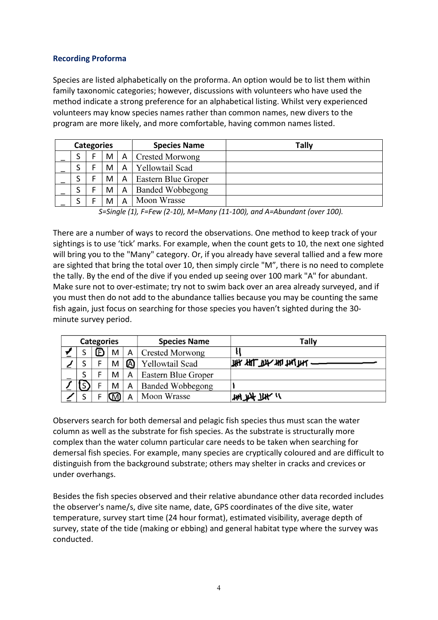### **Recording Proforma**

Species are listed alphabetically on the proforma. An option would be to list them within family taxonomic categories; however, discussions with volunteers who have used the method indicate a strong preference for an alphabetical listing. Whilst very experienced volunteers may know species names rather than common names, new divers to the program are more likely, and more comfortable, having common names listed.

| <b>Categories</b> |  |   |              | <b>Species Name</b>     | Tally |
|-------------------|--|---|--------------|-------------------------|-------|
|                   |  | M | $\mathsf{A}$ | <b>Crested Morwong</b>  |       |
|                   |  | M | A            | <b>Yellowtail Scad</b>  |       |
|                   |  | M | A            | Eastern Blue Groper     |       |
|                   |  | M | A            | <b>Banded Wobbegong</b> |       |
|                   |  | M | А            | Moon Wrasse             |       |

*S=Single (1), F=Few (2-10), M=Many (11-100), and A=Abundant (over 100).*

There are a number of ways to record the observations. One method to keep track of your sightings is to use 'tick' marks. For example, when the count gets to 10, the next one sighted will bring you to the "Many" category. Or, if you already have several tallied and a few more are sighted that bring the total over 10, then simply circle "M", there is no need to complete the tally. By the end of the dive if you ended up seeing over 100 mark "A" for abundant. Make sure not to over-estimate; try not to swim back over an area already surveyed, and if you must then do not add to the abundance tallies because you may be counting the same fish again, just focus on searching for those species you haven't sighted during the 30 minute survey period.

|  | <b>Categories</b> |   |   | <b>Species Name</b>     | Tally                          |
|--|-------------------|---|---|-------------------------|--------------------------------|
|  |                   | M | А | <b>Crested Morwong</b>  |                                |
|  |                   | M | ⋒ | Yellowtail Scad         | <b>WAY THE THE THE THE THE</b> |
|  |                   | M | Α | Eastern Blue Groper     |                                |
|  |                   | M | Α | <b>Banded Wobbegong</b> |                                |
|  |                   |   |   | Moon Wrasse             | $144.144$ $+114$               |

Observers search for both demersal and pelagic fish species thus must scan the water column as well as the substrate for fish species. As the substrate is structurally more complex than the water column particular care needs to be taken when searching for demersal fish species. For example, many species are cryptically coloured and are difficult to distinguish from the background substrate; others may shelter in cracks and crevices or under overhangs.

Besides the fish species observed and their relative abundance other data recorded includes the observer's name/s, dive site name, date, GPS coordinates of the dive site, water temperature, survey start time (24 hour format), estimated visibility, average depth of survey, state of the tide (making or ebbing) and general habitat type where the survey was conducted.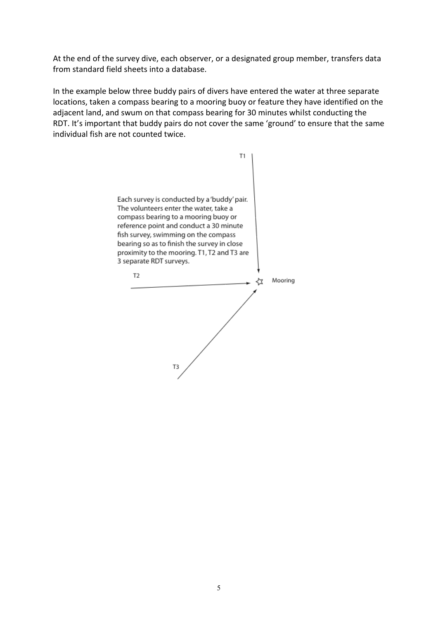At the end of the survey dive, each observer, or a designated group member, transfers data from standard field sheets into a database.

In the example below three buddy pairs of divers have entered the water at three separate locations, taken a compass bearing to a mooring buoy or feature they have identified on the adjacent land, and swum on that compass bearing for 30 minutes whilst conducting the RDT. It's important that buddy pairs do not cover the same 'ground' to ensure that the same individual fish are not counted twice.

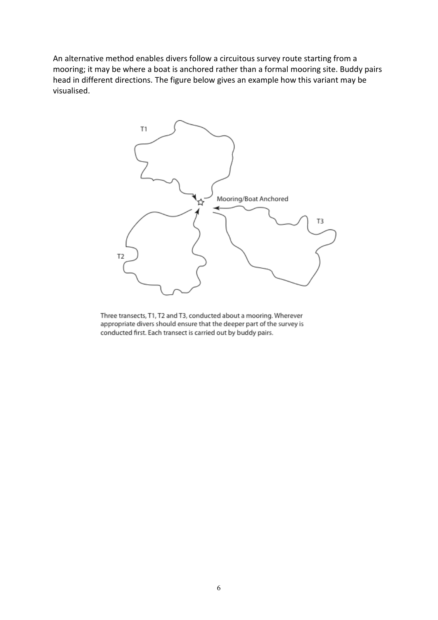An alternative method enables divers follow a circuitous survey route starting from a mooring; it may be where a boat is anchored rather than a formal mooring site. Buddy pairs head in different directions. The figure below gives an example how this variant may be visualised.



Three transects, T1, T2 and T3, conducted about a mooring. Wherever appropriate divers should ensure that the deeper part of the survey is conducted first. Each transect is carried out by buddy pairs.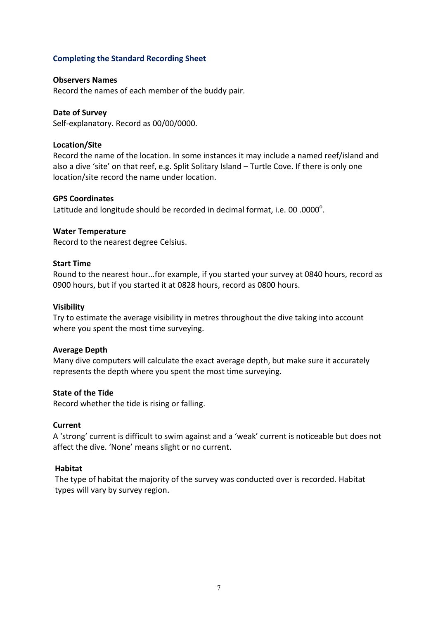#### **Completing the Standard Recording Sheet**

#### **Observers Names**

Record the names of each member of the buddy pair.

#### **Date of Survey**

Self-explanatory. Record as 00/00/0000.

#### **Location/Site**

Record the name of the location. In some instances it may include a named reef/island and also a dive 'site' on that reef, e.g. Split Solitary Island – Turtle Cove. If there is only one location/site record the name under location.

#### **GPS Coordinates**

Latitude and longitude should be recorded in decimal format, i.e. 00 .0000 $^{\circ}$ .

#### **Water Temperature**

Record to the nearest degree Celsius.

#### **Start Time**

Round to the nearest hour...for example, if you started your survey at 0840 hours, record as 0900 hours, but if you started it at 0828 hours, record as 0800 hours.

#### **Visibility**

Try to estimate the average visibility in metres throughout the dive taking into account where you spent the most time surveying.

#### **Average Depth**

Many dive computers will calculate the exact average depth, but make sure it accurately represents the depth where you spent the most time surveying.

#### **State of the Tide**

Record whether the tide is rising or falling.

#### **Current**

A 'strong' current is difficult to swim against and a 'weak' current is noticeable but does not affect the dive. 'None' means slight or no current.

#### **Habitat**

The type of habitat the majority of the survey was conducted over is recorded. Habitat types will vary by survey region.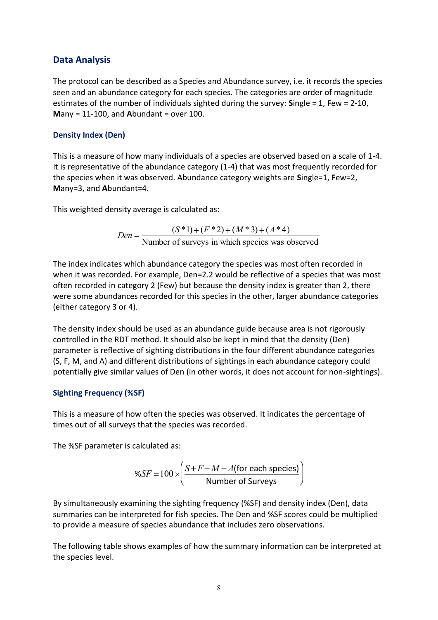# **Data Analysis**

The protocol can be described as a Species and Abundance survey, i.e. it records the species seen and an abundance category for each species. The categories are order of magnitude estimates of the number of individuals sighted during the survey: **S**ingle = 1, **F**ew = 2-10, **M**any = 11-100, and **A**bundant = over 100.

#### **Density Index (Den)**

This is a measure of how many individuals of a species are observed based on a scale of 1-4. It is representative of the abundance category (1-4) that was most frequently recorded for the species when it was observed. Abundance category weights are **S**ingle=1, **F**ew=2, **M**any=3, and **A**bundant=4.

This weighted density average is calculated as:

$$
Den = \frac{(S^*1) + (F^*2) + (M^*3) + (A^*4)}{\text{Number of surveys in which species was observed}}
$$

The index indicates which abundance category the species was most often recorded in when it was recorded. For example, Den=2.2 would be reflective of a species that was most often recorded in category 2 (Few) but because the density index is greater than 2, there were some abundances recorded for this species in the other, larger abundance categories (either category 3 or 4).

The density index should be used as an abundance guide because area is not rigorously controlled in the RDT method. It should also be kept in mind that the density (Den) parameter is reflective of sighting distributions in the four different abundance categories (S, F, M, and A) and different distributions of sightings in each abundance category could potentially give similar values of Den (in other words, it does not account for non-sightings).

### **Sighting Frequency (%SF)**

This is a measure of how often the species was observed. It indicates the percentage of times out of all surveys that the species was recorded.

The %SF parameter is calculated as:

$$
\%SF = 100 \times \left(\frac{S + F + M + A \text{(for each species)}}{\text{Number of Surveys}}\right)
$$

By simultaneously examining the sighting frequency (%SF) and density index (Den), data summaries can be interpreted for fish species. The Den and %SF scores could be multiplied to provide a measure of species abundance that includes zero observations.

The following table shows examples of how the summary information can be interpreted at the species level.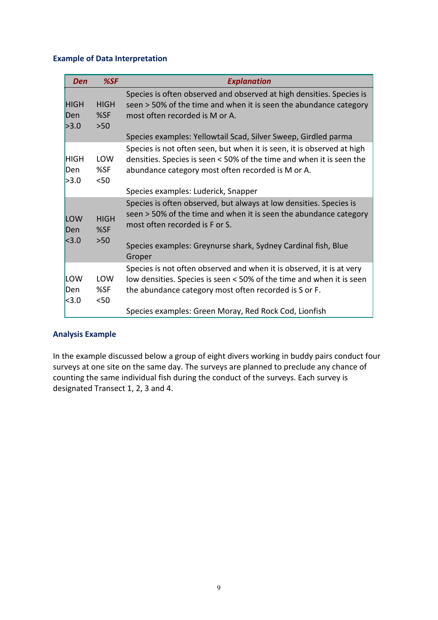#### **Example of Data Interpretation**

| Den                            | %SF                         | <b>Explanation</b>                                                                                                                                                                                    |
|--------------------------------|-----------------------------|-------------------------------------------------------------------------------------------------------------------------------------------------------------------------------------------------------|
| <b>HIGH</b><br>Den<br>>3.0     | <b>HIGH</b><br>%SF<br>$>50$ | Species is often observed and observed at high densities. Species is<br>seen > 50% of the time and when it is seen the abundance category<br>most often recorded is M or A.                           |
|                                |                             | Species examples: Yellowtail Scad, Silver Sweep, Girdled parma                                                                                                                                        |
| <b>HIGH</b><br>Den<br>>3.0     | LOW<br>%SF<br>$50$          | Species is not often seen, but when it is seen, it is observed at high<br>densities. Species is seen < 50% of the time and when it is seen the<br>abundance category most often recorded is M or A.   |
|                                |                             | Species examples: Luderick, Snapper                                                                                                                                                                   |
| LOW<br>Den<br>  <sub>3.0</sub> | <b>HIGH</b><br>%SF<br>$>50$ | Species is often observed, but always at low densities. Species is<br>seen > 50% of the time and when it is seen the abundance category<br>most often recorded is F or S.                             |
|                                |                             | Species examples: Greynurse shark, Sydney Cardinal fish, Blue<br>Groper                                                                                                                               |
| LOW<br>Den<br>  <sub>3.0</sub> | <b>LOW</b><br>%SF<br>$50$   | Species is not often observed and when it is observed, it is at very<br>low densities. Species is seen < 50% of the time and when it is seen<br>the abundance category most often recorded is S or F. |
|                                |                             | Species examples: Green Moray, Red Rock Cod, Lionfish                                                                                                                                                 |

### **Analysis Example**

In the example discussed below a group of eight divers working in buddy pairs conduct four surveys at one site on the same day. The surveys are planned to preclude any chance of counting the same individual fish during the conduct of the surveys. Each survey is designated Transect 1, 2, 3 and 4.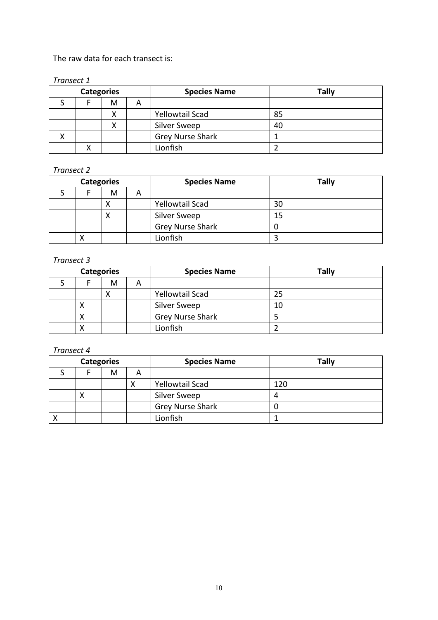### The raw data for each transect is:

#### *Transect 1*

| <b>Categories</b> |   |   | <b>Species Name</b>     | <b>Tally</b> |
|-------------------|---|---|-------------------------|--------------|
|                   | M | A |                         |              |
|                   | v |   | <b>Yellowtail Scad</b>  | 85           |
|                   |   |   | <b>Silver Sweep</b>     | 40           |
|                   |   |   | <b>Grey Nurse Shark</b> |              |
|                   |   |   | Lionfish                |              |

# *Transect 2*

| <b>Categories</b> |   |   | <b>Species Name</b>     | <b>Tally</b> |
|-------------------|---|---|-------------------------|--------------|
|                   | M | A |                         |              |
|                   |   |   | <b>Yellowtail Scad</b>  | 30           |
|                   |   |   | Silver Sweep            | 15           |
|                   |   |   | <b>Grey Nurse Shark</b> |              |
|                   |   |   | Lionfish                |              |

#### *Transect 3*

| <b>Categories</b> |   |   | <b>Species Name</b>     | Tally |
|-------------------|---|---|-------------------------|-------|
|                   | M | A |                         |       |
|                   |   |   | <b>Yellowtail Scad</b>  | 25    |
| ◠                 |   |   | Silver Sweep            | 10    |
|                   |   |   | <b>Grey Nurse Shark</b> |       |
|                   |   |   | Lionfish                |       |

#### *Transect 4*

| <b>Categories</b> |   |   | <b>Species Name</b>     | <b>Tally</b> |
|-------------------|---|---|-------------------------|--------------|
|                   | M | A |                         |              |
|                   |   |   | <b>Yellowtail Scad</b>  | 120          |
|                   |   |   | <b>Silver Sweep</b>     |              |
|                   |   |   | <b>Grey Nurse Shark</b> |              |
|                   |   |   | Lionfish                |              |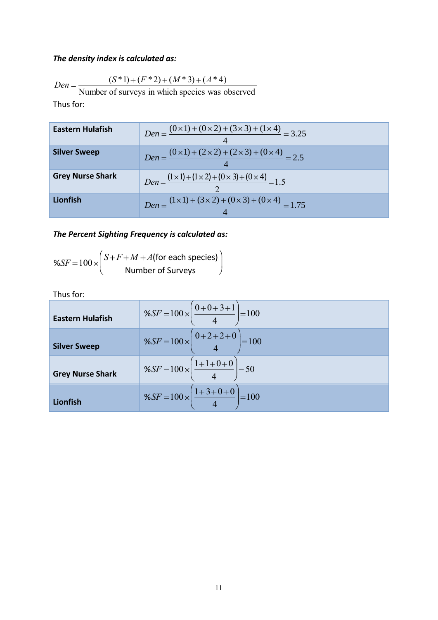# *The density index is calculated as:*

Den = 
$$
\frac{(S^*1) + (F^*2) + (M^*3) + (A^*4)}{S}
$$

Number of surveys in which species was observed

Thus for:

| Eastern Hulafish        | $Den = \frac{(0 \times 1) + (0 \times 2) + (3 \times 3) + (1 \times 4)}{2} = 3.25$  |
|-------------------------|-------------------------------------------------------------------------------------|
| <b>Silver Sweep</b>     | $Den = \frac{(0 \times 1) + (2 \times 2) + (2 \times 3) + (0 \times 4)}{2.5} = 2.5$ |
| <b>Grey Nurse Shark</b> | $Den = \frac{(1 \times 1) + (1 \times 2) + (0 \times 3) + (0 \times 4)}{2} = 1.5$   |
| Lionfish                | $Den = \frac{(1 \times 1) + (3 \times 2) + (0 \times 3) + (0 \times 4)}{2} = 1.75$  |

# *The Percent Sighting Frequency is calculated as:*

$$
\%SF = 100 \times \left(\frac{S + F + M + A \text{(for each species)}}{\text{Number of Surveys}}\right)
$$

Thus for:

| <b>Eastern Hulafish</b> | $\%SF = 100 \times \left( \frac{0+0+3+1}{4} \right) = 100$       |
|-------------------------|------------------------------------------------------------------|
| <b>Silver Sweep</b>     | $\%SF = 100 \times \left( \frac{0 + 2 + 2 + 0}{4} \right) = 100$ |
| <b>Grey Nurse Shark</b> | %SF = $100 \times \left( \frac{1+1+0+0}{4} \right) = 50$         |
| Lionfish                | %SF = $100 \times \left( \frac{1+3+0+0}{4} \right) = 100$        |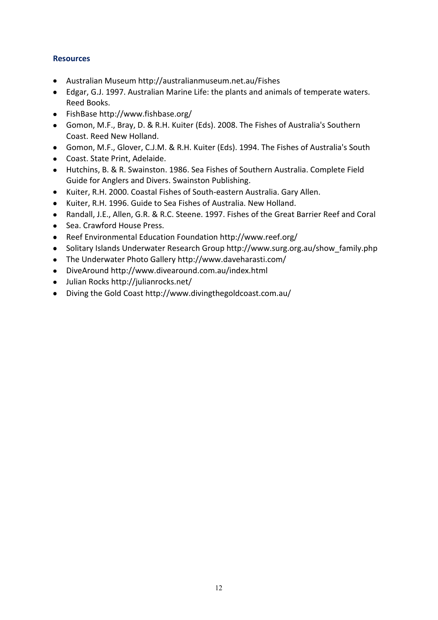### **Resources**

- Australian Museum http://australianmuseum.net.au/Fishes
- Edgar, G.J. 1997. Australian Marine Life: the plants and animals of temperate waters. Reed Books.
- FishBase http://www.fishbase.org/
- Gomon, M.F., Bray, D. & R.H. Kuiter (Eds). 2008. The Fishes of Australia's Southern Coast. Reed New Holland.
- Gomon, M.F., Glover, C.J.M. & R.H. Kuiter (Eds). 1994. The Fishes of Australia's South
- Coast. State Print, Adelaide.
- Hutchins, B. & R. Swainston. 1986. Sea Fishes of Southern Australia. Complete Field Guide for Anglers and Divers. Swainston Publishing.
- Kuiter, R.H. 2000. Coastal Fishes of South-eastern Australia. Gary Allen.
- Kuiter, R.H. 1996. Guide to Sea Fishes of Australia. New Holland.
- Randall, J.E., Allen, G.R. & R.C. Steene. 1997. Fishes of the Great Barrier Reef and Coral
- Sea. Crawford House Press.
- Reef Environmental Education Foundation http://www.reef.org/
- Solitary Islands Underwater Research Group http://www.surg.org.au/show family.php
- The Underwater Photo Gallery<http://www.daveharasti.com/>
- DiveAroun[d http://www.divearound.com.au/index.html](http://uvnsw.net.au/weblinks/goto/280)
- Julian Rocks [http://julianrocks.net/](http://uvnsw.net.au/weblinks/goto/285)
- Diving the Gold Coast [http://www.divingthegoldcoast.com.au/](http://uvnsw.net.au/weblinks/goto/290)